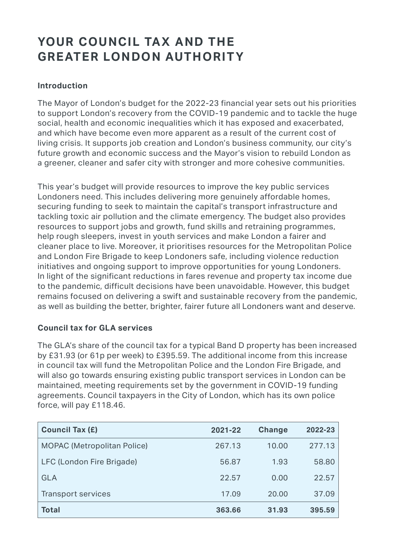# YOUR COUNCIL TAX AND THE **GREATER LONDON AUTHORITY**

### **Introduction**

The Mayor of London's budget for the 2022-23 financial year sets out his priorities to support London's recovery from the COVID-19 pandemic and to tackle the huge social, health and economic inequalities which it has exposed and exacerbated, and which have become even more apparent as a result of the current cost of living crisis. It supports job creation and London's business community, our city's future growth and economic success and the Mayor's vision to rebuild London as a greener, cleaner and safer city with stronger and more cohesive communities.

This year's budget will provide resources to improve the key public services Londoners need. This includes delivering more genuinely affordable homes, securing funding to seek to maintain the capital's transport infrastructure and tackling toxic air pollution and the climate emergency. The budget also provides resources to support jobs and growth, fund skills and retraining programmes, help rough sleepers, invest in youth services and make London a fairer and cleaner place to live. Moreover, it prioritises resources for the Metropolitan Police and London Fire Brigade to keep Londoners safe, including violence reduction initiatives and ongoing support to improve opportunities for young Londoners. In light of the significant reductions in fares revenue and property tax income due to the pandemic, difficult decisions have been unavoidable. However, this budget remains focused on delivering a swift and sustainable recovery from the pandemic, as well as building the better, brighter, fairer future all Londoners want and deserve.

#### **Council tax for GLA services**

The GLA's share of the council tax for a typical Band D property has been increased by £31.93 (or 61p per week) to £395.59. The additional income from this increase in council tax will fund the Metropolitan Police and the London Fire Brigade, and will also go towards ensuring existing public transport services in London can be maintained, meeting requirements set by the government in COVID-19 funding agreements. Council taxpayers in the City of London, which has its own police force, will pay £118.46.

| <b>Council Tax (£)</b>             | 2021-22 | <b>Change</b> | 2022-23 |
|------------------------------------|---------|---------------|---------|
| <b>MOPAC (Metropolitan Police)</b> | 267.13  | 10.00         | 277.13  |
| LFC (London Fire Brigade)          | 56.87   | 1.93          | 58.80   |
| <b>GLA</b>                         | 22.57   | 0.00          | 22.57   |
| <b>Transport services</b>          | 17.09   | 20.00         | 37.09   |
| <b>Total</b>                       | 363.66  | 31.93         | 395.59  |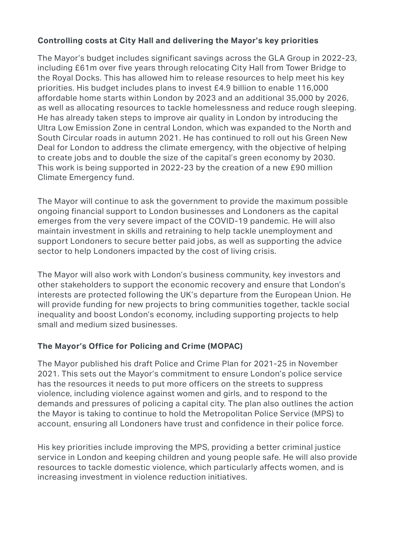### **Controlling costs at City Hall and delivering the Mayor's key priorities**

The Mayor's budget includes significant savings across the GLA Group in 2022-23, including £61m over five years through relocating City Hall from Tower Bridge to the Royal Docks. This has allowed him to release resources to help meet his key priorities. His budget includes plans to invest £4.9 billion to enable 116,000 affordable home starts within London by 2023 and an additional 35,000 by 2026, as well as allocating resources to tackle homelessness and reduce rough sleeping. He has already taken steps to improve air quality in London by introducing the Ultra Low Emission Zone in central London, which was expanded to the North and South Circular roads in autumn 2021. He has continued to roll out his Green New Deal for London to address the climate emergency, with the objective of helping to create jobs and to double the size of the capital's green economy by 2030. This work is being supported in 2022-23 by the creation of a new £90 million Climate Emergency fund.

The Mayor will continue to ask the government to provide the maximum possible ongoing financial support to London businesses and Londoners as the capital emerges from the very severe impact of the COVID-19 pandemic. He will also maintain investment in skills and retraining to help tackle unemployment and support Londoners to secure better paid jobs, as well as supporting the advice sector to help Londoners impacted by the cost of living crisis.

The Mayor will also work with London's business community, key investors and other stakeholders to support the economic recovery and ensure that London's interests are protected following the UK's departure from the European Union. He will provide funding for new projects to bring communities together, tackle social inequality and boost London's economy, including supporting projects to help small and medium sized businesses.

#### **The Mayor's Office for Policing and Crime (MOPAC)**

The Mayor published his draft Police and Crime Plan for 2021-25 in November 2021. This sets out the Mayor's commitment to ensure London's police service has the resources it needs to put more officers on the streets to suppress violence, including violence against women and girls, and to respond to the demands and pressures of policing a capital city. The plan also outlines the action the Mayor is taking to continue to hold the Metropolitan Police Service (MPS) to account, ensuring all Londoners have trust and confidence in their police force.

His key priorities include improving the MPS, providing a better criminal justice service in London and keeping children and young people safe. He will also provide resources to tackle domestic violence, which particularly affects women, and is increasing investment in violence reduction initiatives.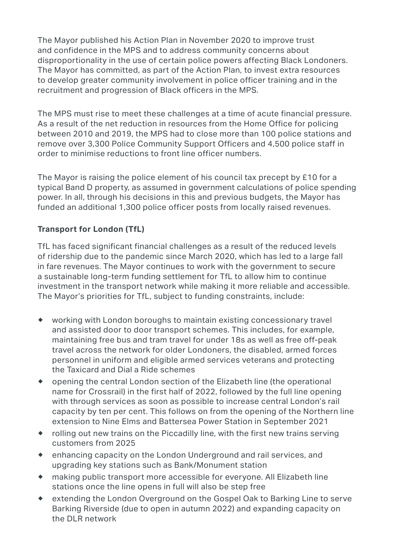disproportionality in the use of certain police powers affecting Black Londoners. The Mayor published his Action Plan in November 2020 to improve trust and confidence in the MPS and to address community concerns about The Mayor has committed, as part of the Action Plan, to invest extra resources. to develop greater community involvement in police officer training and in the recruitment and progression of Black officers in the MPS.

The MPS must rise to meet these challenges at a time of acute financial pressure. As a result of the net reduction in resources from the Home Office for policing between 2010 and 2019, the MPS had to close more than 100 police stations and remove over 3,300 Police Community Support Officers and 4,500 police staff in order to minimise reductions to front line officer numbers.

The Mayor is raising the police element of his council tax precept by £10 for a typical Band D property, as assumed in government calculations of police spending power. In all, through his decisions in this and previous budgets, the Mayor has funded an additional 1,300 police officer posts from locally raised revenues.

# **Transport for London (TfL)**

TfL has faced significant financial challenges as a result of the reduced levels of ridership due to the pandemic since March 2020, which has led to a large fall in fare revenues. The Mayor continues to work with the government to secure a sustainable long-term funding settlement for TfL to allow him to continue investment in the transport network while making it more reliable and accessible. The Mayor's priorities for TfL, subject to funding constraints, include:

- ® working with London boroughs to maintain existing concessionary travel and assisted door to door transport schemes. This includes, for example, maintaining free bus and tram travel for under 18s as well as free off-peak travel across the network for older Londoners, the disabled, armed forces personnel in uniform and eligible armed services veterans and protecting the Taxicard and Dial a Ride schemes
- ® opening the central London section of the Elizabeth line (the operational name for Crossrail) in the first half of 2022, followed by the full line opening with through services as soon as possible to increase central London's rail capacity by ten per cent. This follows on from the opening of the Northern line extension to Nine Elms and Battersea Power Station in September 2021
- ® rolling out new trains on the Piccadilly line, with the first new trains serving customers from 2025
- ® enhancing capacity on the London Underground and rail services, and upgrading key stations such as Bank/Monument station
- ® making public transport more accessible for everyone. All Elizabeth line stations once the line opens in full will also be step free
- ® extending the London Overground on the Gospel Oak to Barking Line to serve Barking Riverside (due to open in autumn 2022) and expanding capacity on the DLR network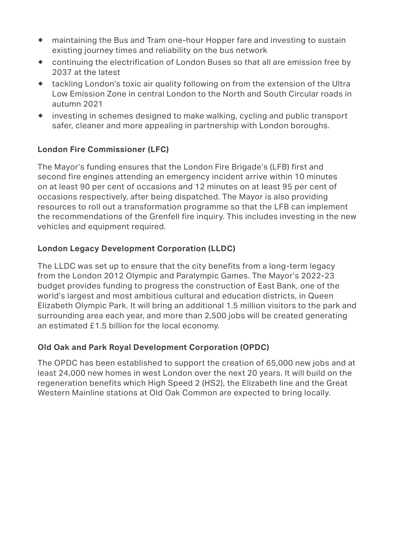- ® maintaining the Bus and Tram one-hour Hopper fare and investing to sustain existing journey times and reliability on the bus network
- ® continuing the electrification of London Buses so that all are emission free by 2037 at the latest
- ® tackling London's toxic air quality following on from the extension of the Ultra Low Emission Zone in central London to the North and South Circular roads in autumn 2021
- ® investing in schemes designed to make walking, cycling and public transport safer, cleaner and more appealing in partnership with London boroughs.

#### **London Fire Commissioner (LFC)**

The Mayor's funding ensures that the London Fire Brigade's (LFB) first and second fire engines attending an emergency incident arrive within 10 minutes on at least 90 per cent of occasions and 12 minutes on at least 95 per cent of occasions respectively, after being dispatched. The Mayor is also providing resources to roll out a transformation programme so that the LFB can implement the recommendations of the Grenfell fire inquiry. This includes investing in the new vehicles and equipment required.

## **London Legacy Development Corporation (LLDC)**

The LLDC was set up to ensure that the city benefits from a long-term legacy from the London 2012 Olympic and Paralympic Games. The Mayor's 2022-23 budget provides funding to progress the construction of East Bank, one of the world's largest and most ambitious cultural and education districts, in Queen Elizabeth Olympic Park. It will bring an additional 1.5 million visitors to the park and surrounding area each year, and more than 2,500 jobs will be created generating an estimated £1.5 billion for the local economy.

## **Old Oak and Park Royal Development Corporation (OPDC)**

The OPDC has been established to support the creation of 65,000 new jobs and at least 24,000 new homes in west London over the next 20 years. It will build on the regeneration benefits which High Speed 2 (HS2), the Elizabeth line and the Great Western Mainline stations at Old Oak Common are expected to bring locally.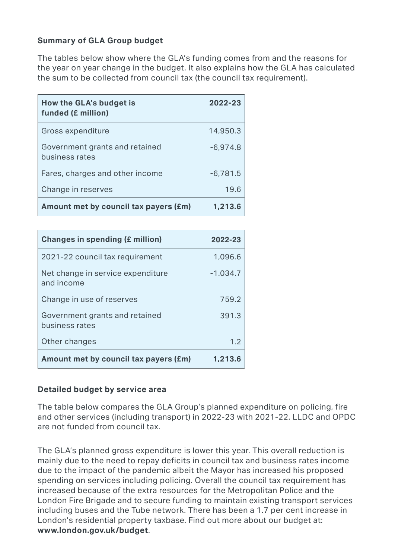#### **Summary of GLA Group budget**

The tables below show where the GLA's funding comes from and the reasons for the year on year change in the budget. It also explains how the GLA has calculated the sum to be collected from council tax (the council tax requirement).

| How the GLA's budget is<br>funded (£ million)    | 2022-23    |
|--------------------------------------------------|------------|
| Gross expenditure                                | 14,950.3   |
| Government grants and retained<br>business rates | $-6,974.8$ |
| Fares, charges and other income                  | $-6,781.5$ |
| Change in reserves                               | 19.6       |
| Amount met by council tax payers (£m)            | 1,213.6    |

| <b>Changes in spending (£ million)</b>           | 2022-23    |  |  |
|--------------------------------------------------|------------|--|--|
| 2021-22 council tax requirement                  | 1,096.6    |  |  |
| Net change in service expenditure<br>and income  | $-1.034.7$ |  |  |
| Change in use of reserves                        | 759.2      |  |  |
| Government grants and retained<br>business rates | 391.3      |  |  |
| Other changes                                    | 1.2        |  |  |
| Amount met by council tax payers (£m)            | 1,213.6    |  |  |

#### **Detailed budget by service area**

The table below compares the GLA Group's planned expenditure on policing, fire and other services (including transport) in 2022-23 with 2021-22. LLDC and OPDC are not funded from council tax.

The GLA's planned gross expenditure is lower this year. This overall reduction is mainly due to the need to repay deficits in council tax and business rates income due to the impact of the pandemic albeit the Mayor has increased his proposed spending on services including policing. Overall the council tax requirement has increased because of the extra resources for the Metropolitan Police and the London Fire Brigade and to secure funding to maintain existing transport services including buses and the Tube network. There has been a 1.7 per cent increase in London's residential property taxbase. Find out more about our budget at: **[www.london.gov.uk/budget](http://www.london.gov.uk/budget)**.